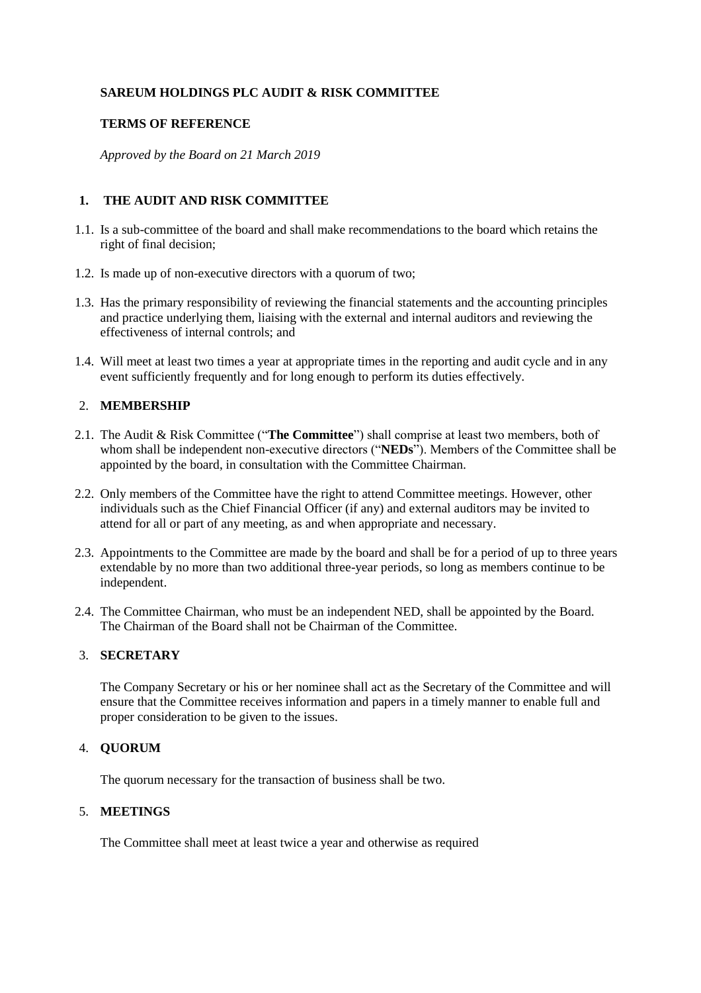# **SAREUM HOLDINGS PLC AUDIT & RISK COMMITTEE**

### **TERMS OF REFERENCE**

*Approved by the Board on 21 March 2019*

# **1. THE AUDIT AND RISK COMMITTEE**

- 1.1. Is a sub-committee of the board and shall make recommendations to the board which retains the right of final decision;
- 1.2. Is made up of non-executive directors with a quorum of two;
- 1.3. Has the primary responsibility of reviewing the financial statements and the accounting principles and practice underlying them, liaising with the external and internal auditors and reviewing the effectiveness of internal controls; and
- 1.4. Will meet at least two times a year at appropriate times in the reporting and audit cycle and in any event sufficiently frequently and for long enough to perform its duties effectively.

### 2. **MEMBERSHIP**

- 2.1. The Audit & Risk Committee ("**The Committee**") shall comprise at least two members, both of whom shall be independent non-executive directors ("**NEDs**"). Members of the Committee shall be appointed by the board, in consultation with the Committee Chairman.
- 2.2. Only members of the Committee have the right to attend Committee meetings. However, other individuals such as the Chief Financial Officer (if any) and external auditors may be invited to attend for all or part of any meeting, as and when appropriate and necessary.
- 2.3. Appointments to the Committee are made by the board and shall be for a period of up to three years extendable by no more than two additional three-year periods, so long as members continue to be independent.
- 2.4. The Committee Chairman, who must be an independent NED, shall be appointed by the Board. The Chairman of the Board shall not be Chairman of the Committee.

### 3. **SECRETARY**

The Company Secretary or his or her nominee shall act as the Secretary of the Committee and will ensure that the Committee receives information and papers in a timely manner to enable full and proper consideration to be given to the issues.

### 4. **QUORUM**

The quorum necessary for the transaction of business shall be two.

### 5. **MEETINGS**

The Committee shall meet at least twice a year and otherwise as required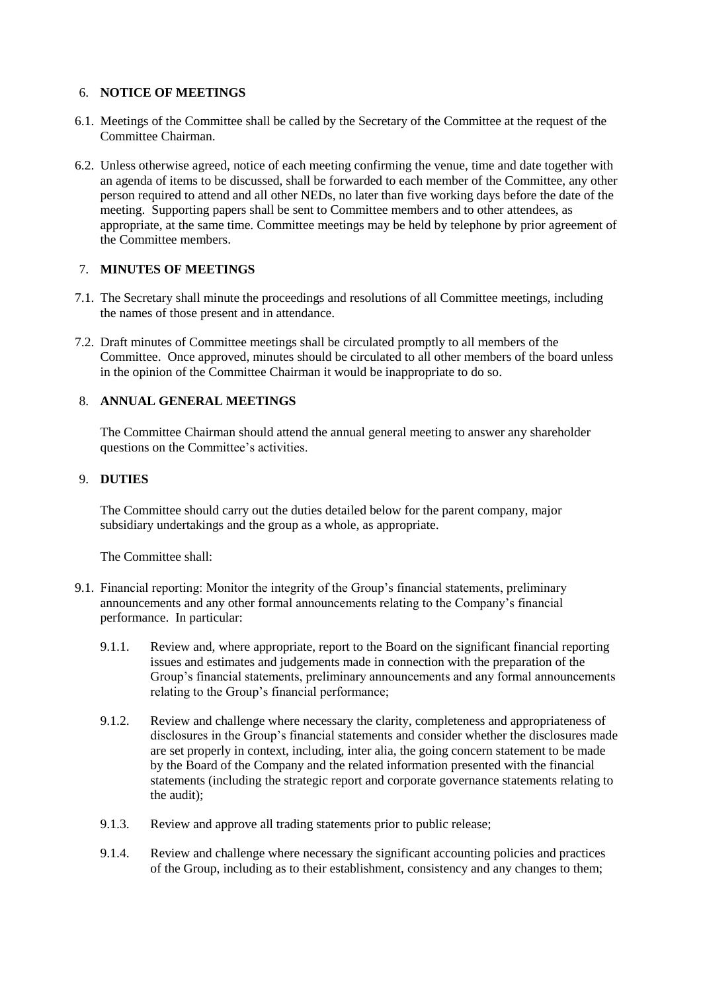### 6. **NOTICE OF MEETINGS**

- 6.1. Meetings of the Committee shall be called by the Secretary of the Committee at the request of the Committee Chairman.
- 6.2. Unless otherwise agreed, notice of each meeting confirming the venue, time and date together with an agenda of items to be discussed, shall be forwarded to each member of the Committee, any other person required to attend and all other NEDs, no later than five working days before the date of the meeting. Supporting papers shall be sent to Committee members and to other attendees, as appropriate, at the same time. Committee meetings may be held by telephone by prior agreement of the Committee members.

# 7. **MINUTES OF MEETINGS**

- 7.1. The Secretary shall minute the proceedings and resolutions of all Committee meetings, including the names of those present and in attendance.
- 7.2. Draft minutes of Committee meetings shall be circulated promptly to all members of the Committee. Once approved, minutes should be circulated to all other members of the board unless in the opinion of the Committee Chairman it would be inappropriate to do so.

# 8. **ANNUAL GENERAL MEETINGS**

The Committee Chairman should attend the annual general meeting to answer any shareholder questions on the Committee's activities.

# 9. **DUTIES**

The Committee should carry out the duties detailed below for the parent company, major subsidiary undertakings and the group as a whole, as appropriate.

The Committee shall:

- 9.1. Financial reporting: Monitor the integrity of the Group's financial statements, preliminary announcements and any other formal announcements relating to the Company's financial performance. In particular:
	- 9.1.1. Review and, where appropriate, report to the Board on the significant financial reporting issues and estimates and judgements made in connection with the preparation of the Group's financial statements, preliminary announcements and any formal announcements relating to the Group's financial performance;
	- 9.1.2. Review and challenge where necessary the clarity, completeness and appropriateness of disclosures in the Group's financial statements and consider whether the disclosures made are set properly in context, including, inter alia, the going concern statement to be made by the Board of the Company and the related information presented with the financial statements (including the strategic report and corporate governance statements relating to the audit);
	- 9.1.3. Review and approve all trading statements prior to public release;
	- 9.1.4. Review and challenge where necessary the significant accounting policies and practices of the Group, including as to their establishment, consistency and any changes to them;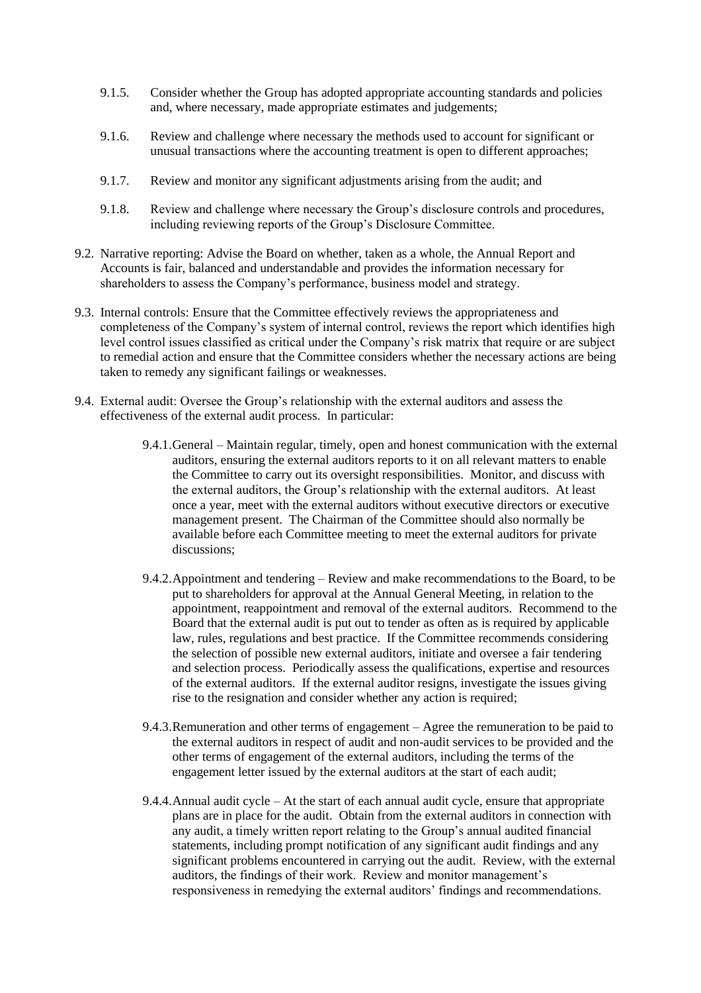- 9.1.5. Consider whether the Group has adopted appropriate accounting standards and policies and, where necessary, made appropriate estimates and judgements;
- 9.1.6. Review and challenge where necessary the methods used to account for significant or unusual transactions where the accounting treatment is open to different approaches;
- 9.1.7. Review and monitor any significant adjustments arising from the audit; and
- 9.1.8. Review and challenge where necessary the Group's disclosure controls and procedures, including reviewing reports of the Group's Disclosure Committee.
- 9.2. Narrative reporting: Advise the Board on whether, taken as a whole, the Annual Report and Accounts is fair, balanced and understandable and provides the information necessary for shareholders to assess the Company's performance, business model and strategy.
- 9.3. Internal controls: Ensure that the Committee effectively reviews the appropriateness and completeness of the Company's system of internal control, reviews the report which identifies high level control issues classified as critical under the Company's risk matrix that require or are subject to remedial action and ensure that the Committee considers whether the necessary actions are being taken to remedy any significant failings or weaknesses.
- 9.4. External audit: Oversee the Group's relationship with the external auditors and assess the effectiveness of the external audit process. In particular:
	- 9.4.1.General Maintain regular, timely, open and honest communication with the external auditors, ensuring the external auditors reports to it on all relevant matters to enable the Committee to carry out its oversight responsibilities. Monitor, and discuss with the external auditors, the Group's relationship with the external auditors. At least once a year, meet with the external auditors without executive directors or executive management present. The Chairman of the Committee should also normally be available before each Committee meeting to meet the external auditors for private discussions;
	- 9.4.2.Appointment and tendering Review and make recommendations to the Board, to be put to shareholders for approval at the Annual General Meeting, in relation to the appointment, reappointment and removal of the external auditors. Recommend to the Board that the external audit is put out to tender as often as is required by applicable law, rules, regulations and best practice. If the Committee recommends considering the selection of possible new external auditors, initiate and oversee a fair tendering and selection process. Periodically assess the qualifications, expertise and resources of the external auditors. If the external auditor resigns, investigate the issues giving rise to the resignation and consider whether any action is required;
	- 9.4.3.Remuneration and other terms of engagement Agree the remuneration to be paid to the external auditors in respect of audit and non-audit services to be provided and the other terms of engagement of the external auditors, including the terms of the engagement letter issued by the external auditors at the start of each audit;
	- 9.4.4.Annual audit cycle At the start of each annual audit cycle, ensure that appropriate plans are in place for the audit. Obtain from the external auditors in connection with any audit, a timely written report relating to the Group's annual audited financial statements, including prompt notification of any significant audit findings and any significant problems encountered in carrying out the audit. Review, with the external auditors, the findings of their work. Review and monitor management's responsiveness in remedying the external auditors' findings and recommendations.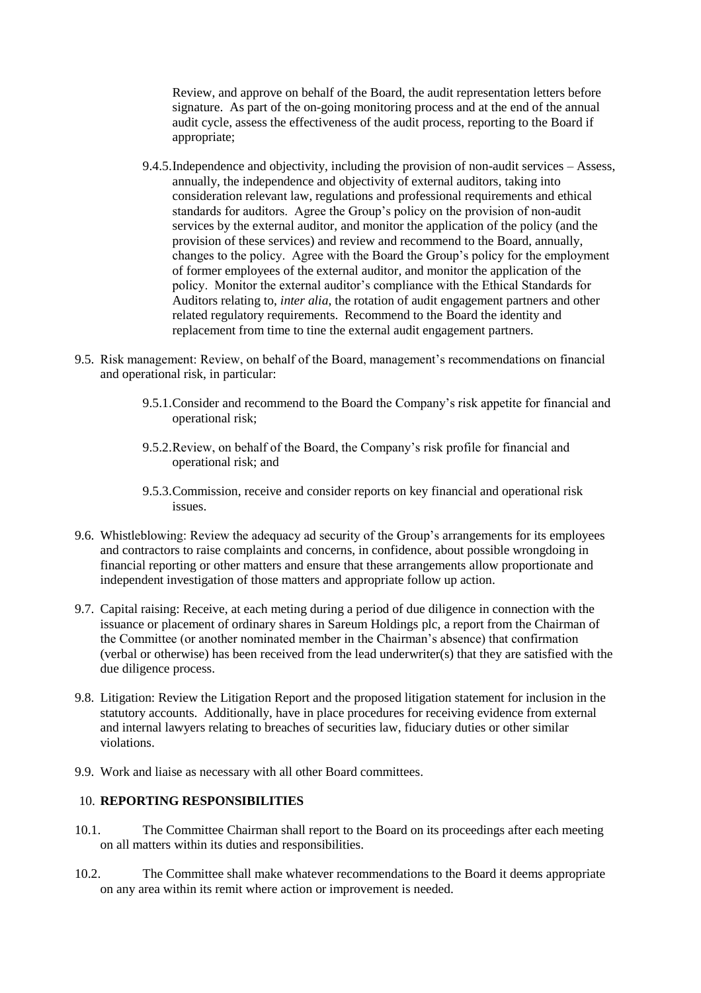Review, and approve on behalf of the Board, the audit representation letters before signature. As part of the on-going monitoring process and at the end of the annual audit cycle, assess the effectiveness of the audit process, reporting to the Board if appropriate;

- 9.4.5.Independence and objectivity, including the provision of non-audit services Assess, annually, the independence and objectivity of external auditors, taking into consideration relevant law, regulations and professional requirements and ethical standards for auditors. Agree the Group's policy on the provision of non-audit services by the external auditor, and monitor the application of the policy (and the provision of these services) and review and recommend to the Board, annually, changes to the policy. Agree with the Board the Group's policy for the employment of former employees of the external auditor, and monitor the application of the policy. Monitor the external auditor's compliance with the Ethical Standards for Auditors relating to, *inter alia*, the rotation of audit engagement partners and other related regulatory requirements. Recommend to the Board the identity and replacement from time to tine the external audit engagement partners.
- 9.5. Risk management: Review, on behalf of the Board, management's recommendations on financial and operational risk, in particular:
	- 9.5.1.Consider and recommend to the Board the Company's risk appetite for financial and operational risk;
	- 9.5.2.Review, on behalf of the Board, the Company's risk profile for financial and operational risk; and
	- 9.5.3.Commission, receive and consider reports on key financial and operational risk issues.
- 9.6. Whistleblowing: Review the adequacy ad security of the Group's arrangements for its employees and contractors to raise complaints and concerns, in confidence, about possible wrongdoing in financial reporting or other matters and ensure that these arrangements allow proportionate and independent investigation of those matters and appropriate follow up action.
- 9.7. Capital raising: Receive, at each meting during a period of due diligence in connection with the issuance or placement of ordinary shares in Sareum Holdings plc, a report from the Chairman of the Committee (or another nominated member in the Chairman's absence) that confirmation (verbal or otherwise) has been received from the lead underwriter(s) that they are satisfied with the due diligence process.
- 9.8. Litigation: Review the Litigation Report and the proposed litigation statement for inclusion in the statutory accounts. Additionally, have in place procedures for receiving evidence from external and internal lawyers relating to breaches of securities law, fiduciary duties or other similar violations.
- 9.9. Work and liaise as necessary with all other Board committees.

### 10. **REPORTING RESPONSIBILITIES**

- 10.1. The Committee Chairman shall report to the Board on its proceedings after each meeting on all matters within its duties and responsibilities.
- 10.2. The Committee shall make whatever recommendations to the Board it deems appropriate on any area within its remit where action or improvement is needed.